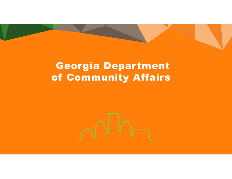# Georgia Department of Community Affairs

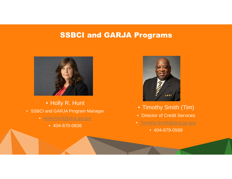# SSBCI and GARJA Programs



• Holly R. Hunt • SSBCI and GARJA Program Manager

- Holly.Hunt@dca.ga.gov
	- 404-670-0836



- Timothy Smith (Tim)
- Director of Credit Services
- Timothy.Smith@dca.ga.gov
	- 404-679-0568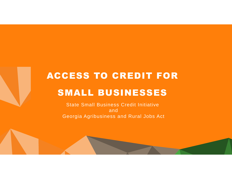# ACCESS TO CREDIT FOR SMALL BUSINESSES

State Small Business Credit Initiative and Georgia Agribusiness and Rural Jobs Act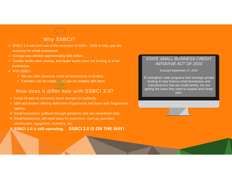# Why SSBCI?

- $\triangleright$  SSBCI 1.0 was born out of the recession of 2008 2009 to help spur the economy for small businesses.
- ▶ Georgia was allotted approximately \$48 million.
- $\triangleright$  Smaller banks were closing, and larger banks were not lending to small businesses.
- With SSBCI:
	- $\checkmark$  We can offer attractive credit enhancements to lenders.
	- $\checkmark$  If lenders can be creative, we can be creative with them.

# How does it differ now with SSBCI 2.0?

- Covid-19 was an economic shock brought on suddenly.
- $\triangleright$  SBA and lenders offering deferment of payments and loans with forgiveness options.
- Small businesses suffered through pandemic and are considered risky.
- Small businesses still need loans for expansion, start-up, purchase, construction, equipment, inventory, etc.

**SSBCI 1.0 is still operating. SSBCI 2.0 IS ON THE WAY!**

## *STATE SMALL BUSINESS CREDIT INITIATIVE ACT OF 2010*

*Enacted September 27, 2010*

To strengthen state programs that leverage private lending to help finance small businesses and manufacturers that are credit-worthy, but not getting the loans they need to expand and create iobs.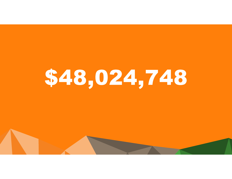# \$48,024,748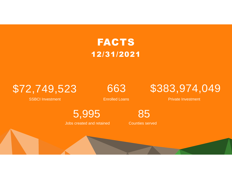# FACTS 12/31/2021

SSBCI Investment Enrolled Loans **Enrolled Loans** Private Investment



5,995

Jobs created and retained

85 Counties served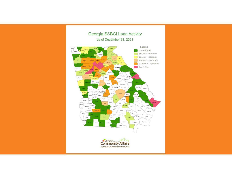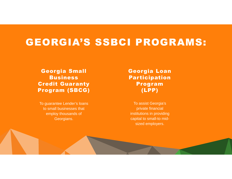# GEORGIA'S SSBCI PROGRAMS:

Georgia Small Business Credit Guaranty Program (SBCG)

To guarantee Lender's loans to small businesses that employ thousands of Georgians.

Georgia Loan Participation Program (LPP)

To assist Georgia's private financial institutions in providing capital to small-to midsized employers.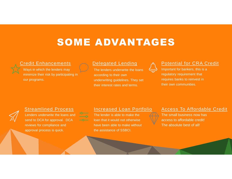# SOME ADVANTAGES

## Credit Enhancements



Ways in which the lenders may minimize their risk by participating in our programs.

## Delegated Lending

The lenders underwrite the loans according to their own underwriting guidelines. They set their interest rates and terms.



# Potential for CRA Credit

Important for bankers, this is a regulatory requirement that requires banks to reinvest in their own communities.



### Streamlined Process

Lenders underwrite the loans and send to DCA for approval. DCA reviews for compliance and approval process is quick.

 $-0$ 

### Increased Loan Portfolio

The lender is able to make the loan that it would not otherwise have been able to make without the assistance of SSBCI.

### Access To Affordable Credit

The small business now has access to affordable credit! The absolute best of all!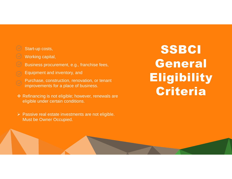# Start-up costs,

## Working capital,

- Business procurement, e.g., franchise fees,
- Equipment and inventory, and
- Purchase, construction, renovation, or tenant improvements for a place of business.
- ❖ Refinancing is not eligible; however, renewals are eligible under certain conditions.
- $\triangleright$  Passive real estate investments are not eligible. Must be Owner Occupied.

# SSBCI General **Eligibility** Criteria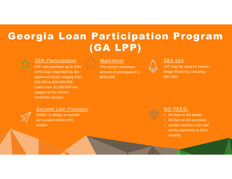# Georgia Loan Participation Program (GA LPP)



## 25% Participation

LPP can purchase up to 25% of the loan originated by the approved lender ranging from \$10,000 to \$20,000,000. Loans over \$1,000,000 are capped at the current maximum amount.

## Maximum

The current maximum amount of participation is \$250,000.



## SBA 504

LPP may be used for interim bridge financing, including SBA 504.



# Second Lien Position!

SSBCI is always in second lien position behind the lender!



# NO FEES!

- No fees to the lender.
- No fees to the borrower.
- Lender services loan and remits payments to DCA monthly.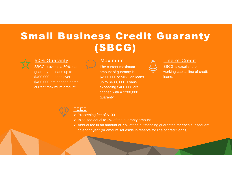# Small Business Credit Guaranty (SBCG)



### 50% Guaranty

SBCG provides a 50% loan guaranty on loans up to \$400,000. Loans over \$400,000 are capped at the current maximum amount.

## Maximum

The current maximum amount of guaranty is \$200,000, or 50%, on loans up to \$400,000. Loans exceeding \$400,000 are capped with a \$200,000 guaranty.



### Line of Credit

SBCG is excellent for working capital line of credit loans.



# FEES

 $\triangleright$  Processing fee of \$100.

 $\triangleright$  Initial fee equal to 2% of the quaranty amount.

 $\triangleright$  Annual fee in an amount of .5% of the outstanding guarantee for each subsequent calendar year (or amount set aside in reserve for line of credit loans).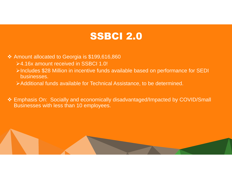# SSBCI 2.0

◆ Amount allocated to Georgia is \$199,616,860

- 4.16x amount received in SSBCI 1.0!
- Includes \$28 Million in incentive funds available based on performance for SEDI businesses.
- Additional funds available for Technical Assistance, to be determined.

 Emphasis On: Socially and economically disadvantaged/Impacted by COVID/Small Businesses with less than 10 employees.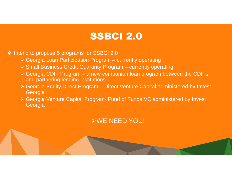# SSBCI 2.0

❖ Intend to propose 5 programs for SSBCI 2.0

- Georgia Loan Participation Program currently operating
- $\triangleright$  Small Business Credit Guaranty Program currently operating
- $\triangleright$  Georgia CDFI Program a new companion loan program between the CDFIs and partnering lending institutions.
- Georgia Equity Direct Program Direct Venture Capital administered by Invest Georgia
- Georgia Venture Capital Program- Fund of Funds VC administered by Invest Georgia

# WE NEED YOU!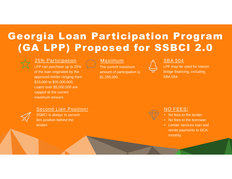# Georgia Loan Participation Program (GA LPP) Proposed for SSBCI 2.0



## 25% Participation

LPP can purchase up to 25% of the loan originated by the approved lender ranging from \$10,000 to \$20,000,000. Loans over \$5,000,000 are capped at the current maximum amount.

## Maximum

The current maximum amount of participation is \$1,250,000.

## SBA 504

LPP may be used for interim bridge financing, including SBA 504.



# Second Lien Position!

SSBCI is always in second lien position behind the lender!



# NO FEES!

- No fees to the lender.
- No fees to the borrower.
- Lender services loan and remits payments to DCA monthly.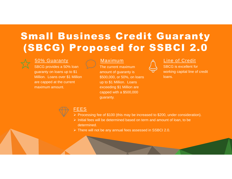# Small Business Credit Guaranty (SBCG) Proposed for SSBCI 2.0



## 50% Guaranty

SBCG provides a 50% loan guaranty on loans up to \$1 Million. Loans over \$1 Million are capped at the current maximum amount.

# Maximum

The current maximum amount of guaranty is \$500,000, or 50%, on loans up to \$1 Million. Loans exceeding \$1 Million are capped with a \$500,000 guaranty.



### Line of Credit

SBCG is excellent for working capital line of credit loans.



## FEES

- Processing fee of \$100 (this may be increased to \$200, under consideration).
- $\triangleright$  Initial fees will be determined based on term and amount of loan, to be determined.
- There will not be any annual fees assessed in SSBCI 2.0.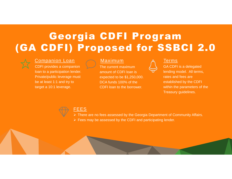# Georgia CDFI Program (GA CDFI) Proposed for SSBCI 2.0

## Companion Loan

CDFI provides a companion loan to a participation lender. Private/public leverage must be at least 1:1 and try to target a 10:1 leverage.

# Maximum

The current maximum amount of CDFI loan is expected to be \$1,250,000. DCA funds 100% of the CDFI loan to the borrower.

# Terms



GA CDFI is a delegated lending model. All terms, rates and fees are established by the CDFI within the parameters of the Treasury guidelines.



### FEES

- There are no fees assessed by the Georgia Department of Community Affairs.
- $\triangleright$  Fees may be assessed by the CDFI and participating lender.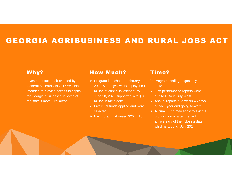# GEORGIA AGRIBUSINESS AND RURAL JOBS ACT

# Why?

Investment tax credit enacted by General Assembly in 2017 session intended to provide access to capital for Georgia businesses in some of the state's most rural areas.

# **How Much?**

- $\triangleright$  Program launched in February 2018 with objective to deploy \$100 million of capital investment by June 30, 2020 supported with \$60 million in tax credits.
- $\triangleright$  Five rural funds applied and were selected.
- $\triangleright$  Each rural fund raised \$20 million.

# Time?

- $\triangleright$  Program lending began July 1, 2018.
- $\triangleright$  First performance reports were due to DCA in July 2020.
- $\triangleright$  Annual reports due within 45 days of each year end going forward.
- $\triangleright$  A Rural Fund may apply to exit the program on or after the sixth anniversary of their closing date, which is around July 2024.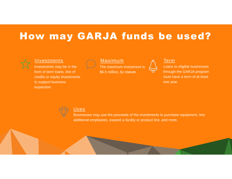# How may GARJA funds be used?



### Investments

Investments may be in the form of term loans, line of credits or equity investments to support business expansion.



The maximum investment is \$6.5 million, by statute.



### Term

Loans to eligible businesses through the GARJA program must have a term of at least one year.



### Uses

Businesses may use the proceeds of the investments to purchase equipment, hire additional employees, expand a facility or product line, and more.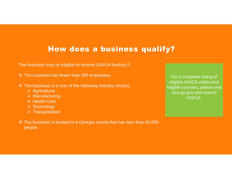# How does a business qualify?

The business may be eligible to receive GARJA funding if:

- $\div$  The business has fewer than 250 employees.
- The business is in one of the following industry sectors:
	- $\triangleright$  Agricultural
	- $\triangleright$  Manufacturing
	- $\triangleright$  Health Care
	- $\triangleright$  Technology
	- $\triangleright$  Transportation
- The business is located in a Georgia county that has less than 50,000 people.

For a complete listing of eligible NAICS codes and eligible counties, please visit dca.ga.gov and search GARJA.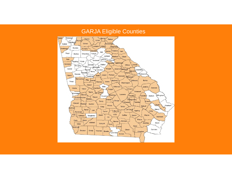# GARJA Eligible Counties

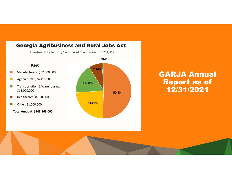

# GARJA Annual Report as of 12/31/2021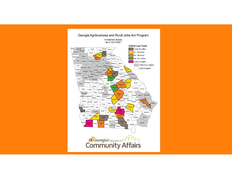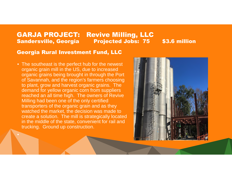•

**GARJA PROJECT: Revive Milling, LLC<br>Sandersville, Georgia Projected Jobs: 75** Sandersville, Georgia Projected Jobs: 75 \$3.6 million

# Georgia Rural Investment Fund, LLC

• The southeast is the perfect hub for the newest organic grain mill in the US, due to increased organic grains being brought in through the Port of Savannah, and the region's farmers choosing to plant, grow and harvest organic grains. The demand for yellow organic corn from suppliers reached an all time high. The owners of Revive Milling had been one of the only certified transporters of the organic grain and as they watched the market, the decision was made to create a solution. The mill is strategically located in the middle of the state, convenient for rail and trucking. Ground up construction.

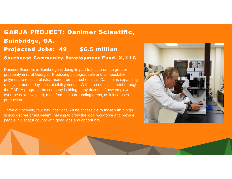# GARJA PROJECT: Danimer Scientific, Bainbridge, GA. Projected Jobs: 49 \$6.5 million Southeast Community Development Fund, X, LLC

Danimer Scientific in Bainbridge is doing its part to help promote greater prosperity in rural Georgia. Producing biodegradable and compostable polymers to replace plastics made from petrochemicals, Danimer is expanding rapidly to meet today's sustainability needs. With a recent investment through the GARJA program, the company is hiring many dozens of new employees over the next few years, most from the surrounding areas, as it increases production.

Three out of every four new positions will be accessible to those with a high school degree or equivalent, helping to grow the local workforce and provide people in Decatur county with good jobs and opportunity.

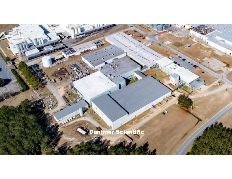# animer Scientific

**MARGARET**